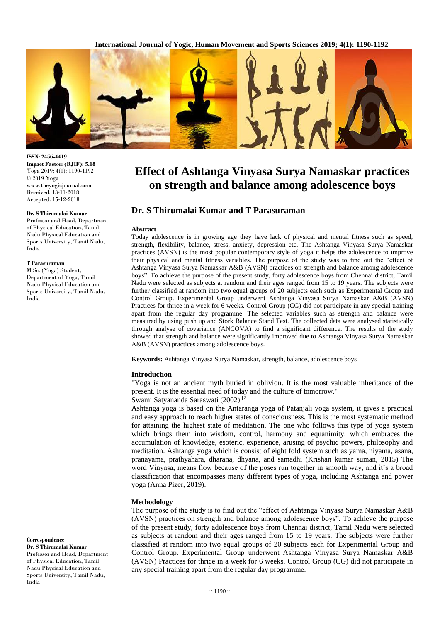

**ISSN: 2456-4419 Impact Factor: (RJIF): 5.18** Yoga 2019; 4(1): 1190-1192 © 2019 Yoga www.theyogicjournal.com Received: 13-11-2018 Accepted: 15-12-2018

#### **Dr. S Thirumalai Kumar**

Professor and Head, Department of Physical Education, Tamil Nadu Physical Education and Sports University, Tamil Nadu, India

#### **T Parasuraman**

M Sc. (Yoga) Student, Department of Yoga, Tamil Nadu Physical Education and Sports University, Tamil Nadu, India

**Correspondence**

**Dr. S Thirumalai Kumar**  Professor and Head, Department of Physical Education, Tamil Nadu Physical Education and Sports University, Tamil Nadu, India

# **Effect of Ashtanga Vinyasa Surya Namaskar practices on strength and balance among adolescence boys**

# **Dr. S Thirumalai Kumar and T Parasuraman**

#### **Abstract**

Today adolescence is in growing age they have lack of physical and mental fitness such as speed, strength, flexibility, balance, stress, anxiety, depression etc. The Ashtanga Vinyasa Surya Namaskar practices (AVSN) is the most popular contemporary style of yoga it helps the adolescence to improve their physical and mental fitness variables. The purpose of the study was to find out the "effect of Ashtanga Vinyasa Surya Namaskar A&B (AVSN) practices on strength and balance among adolescence boys". To achieve the purpose of the present study, forty adolescence boys from Chennai district, Tamil Nadu were selected as subjects at random and their ages ranged from 15 to 19 years. The subjects were further classified at random into two equal groups of 20 subjects each such as Experimental Group and Control Group. Experimental Group underwent Ashtanga Vinyasa Surya Namaskar A&B (AVSN) Practices for thrice in a week for 6 weeks. Control Group (CG) did not participate in any special training apart from the regular day programme. The selected variables such as strength and balance were measured by using push up and Stork Balance Stand Test. The collected data were analysed statistically through analyse of covariance (ANCOVA) to find a significant difference. The results of the study showed that strength and balance were significantly improved due to Ashtanga Vinyasa Surya Namaskar A&B (AVSN) practices among adolescence boys.

**Keywords:** Ashtanga Vinyasa Surya Namaskar, strength, balance, adolescence boys

#### **Introduction**

"Yoga is not an ancient myth buried in oblivion. It is the most valuable inheritance of the present. It is the essential need of today and the culture of tomorrow."

Swami Satyananda Saraswati (2002) [7]

Ashtanga yoga is based on the Antaranga yoga of Patanjali yoga system, it gives a practical and easy approach to reach higher states of consciousness. This is the most systematic method for attaining the highest state of meditation. The one who follows this type of yoga system which brings them into wisdom, control, harmony and equanimity, which embraces the accumulation of knowledge, esoteric, experience, arusing of psychic powers, philosophy and meditation. Ashtanga yoga which is consist of eight fold system such as yama, niyama, asana, pranayama, prathyahara, dharana, dhyana, and samadhi (Krishan kumar suman, 2015) The word Vinyasa, means flow because of the poses run together in smooth way, and it's a broad classification that encompasses many different types of yoga, including Ashtanga and power yoga (Anna Pizer, 2019).

#### **Methodology**

The purpose of the study is to find out the "effect of Ashtanga Vinyasa Surya Namaskar A&B (AVSN) practices on strength and balance among adolescence boys". To achieve the purpose of the present study, forty adolescence boys from Chennai district, Tamil Nadu were selected as subjects at random and their ages ranged from 15 to 19 years. The subjects were further classified at random into two equal groups of 20 subjects each for Experimental Group and Control Group. Experimental Group underwent Ashtanga Vinyasa Surya Namaskar A&B (AVSN) Practices for thrice in a week for 6 weeks. Control Group (CG) did not participate in any special training apart from the regular day programme.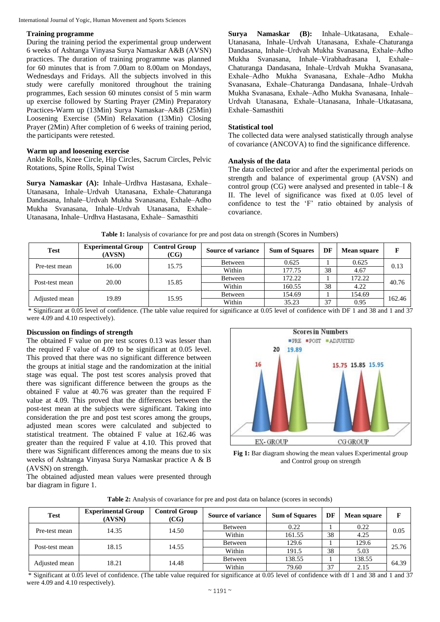#### International Journal of Yogic, Human Movement and Sports Sciences

#### **Training programme**

During the training period the experimental group underwent 6 weeks of Ashtanga Vinyasa Surya Namaskar A&B (AVSN) practices. The duration of training programme was planned for 60 minutes that is from 7.00am to 8.00am on Mondays, Wednesdays and Fridays. All the subjects involved in this study were carefully monitored throughout the training programmes, Each session 60 minutes consist of 5 min warm up exercise followed by Starting Prayer (2Min) Preparatory Practices-Warm up (13Min) Surya Namaskar–A&B (25Min) Loosening Exercise (5Min) Relaxation (13Min) Closing Prayer (2Min) After completion of 6 weeks of training period, the participants were retested.

#### **Warm up and loosening exercise**

Ankle Rolls, Knee Circle, Hip Circles, Sacrum Circles, Pelvic Rotations, Spine Rolls, Spinal Twist

**Surya Namaskar (A):** Inhale–Urdhva Hastasana, Exhale– Utanasana, Inhale–Urdvah Utanasana, Exhale–Chaturanga Dandasana, Inhale–Urdvah Mukha Svanasana, Exhale–Adho Mukha Svanasana, Inhale–Urdvah Utanasana, Exhale– Utanasana, Inhale–Urdhva Hastasana, Exhale– Samasthiti

**Surya Namaskar (B):** Inhale–Utkatasana, Exhale– Utanasana, Inhale–Urdvah Utanasana, Exhale–Chaturanga Dandasana, Inhale–Urdvah Mukha Svanasana, Exhale–Adho Mukha Svanasana, Inhale–Virabhadrasana I, Exhale– Chaturanga Dandasana, Inhale–Urdvah Mukha Svanasana, Exhale–Adho Mukha Svanasana, Exhale–Adho Mukha Svanasana, Exhale–Chaturanga Dandasana, Inhale–Urdvah Mukha Svanasana, Exhale–Adho Mukha Svanasana, Inhale– Urdvah Utanasana, Exhale–Utanasana, Inhale–Utkatasana, Exhale–Samasthiti

## **Statistical tool**

The collected data were analysed statistically through analyse of covariance (ANCOVA) to find the significance difference.

#### **Analysis of the data**

The data collected prior and after the experimental periods on strength and balance of experimental group (AVSN) and control group (CG) were analysed and presented in table–I & II. The level of significance was fixed at 0.05 level of confidence to test the 'F' ratio obtained by analysis of covariance.

| <b>Test</b>    | <b>Experimental Group</b><br>(AVSN) | <b>Control Group</b><br>(CG) | <b>Source of variance</b> | <b>Sum of Squares</b> | DF | <b>Mean square</b> | Е      |
|----------------|-------------------------------------|------------------------------|---------------------------|-----------------------|----|--------------------|--------|
| Pre-test mean  | 16.00                               | 15.75                        | Between                   | 0.625                 |    | 0.625              | 0.13   |
|                |                                     |                              | Within                    | 177.75                | 38 | 4.67               |        |
| Post-test mean | 20.00                               | 15.85                        | Between                   | 172.22                |    | 172.22             | 40.76  |
|                |                                     |                              | Within                    | 160.55                | 38 | 4.22               |        |
| Adjusted mean  | 19.89                               | 15.95                        | Between                   | 154.69                |    | 154.69             | 162.46 |
|                |                                     |                              | Within                    | 35.23                 | 37 | 0.95               |        |

**Table 1:** Ianalysis of covariance for pre and post data on strength (Scores in Numbers)

\* Significant at 0.05 level of confidence. (The table value required for significance at 0.05 level of confidence with DF 1 and 38 and 1 and 37 were 4.09 and 4.10 respectively).

### **Discussion on findings of strength**

The obtained F value on pre test scores 0.13 was lesser than the required F value of 4.09 to be significant at 0.05 level. This proved that there was no significant difference between the groups at initial stage and the randomization at the initial stage was equal. The post test scores analysis proved that there was significant difference between the groups as the obtained F value at 40.76 was greater than the required F value at 4.09. This proved that the differences between the post-test mean at the subjects were significant. Taking into consideration the pre and post test scores among the groups, adjusted mean scores were calculated and subjected to statistical treatment. The obtained F value at 162.46 was greater than the required F value at 4.10. This proved that there was Significant differences among the means due to six weeks of Ashtanga Vinyasa Surya Namaskar practice A & B (AVSN) on strength.

The obtained adjusted mean values were presented through bar diagram in figure 1.





**Table 2:** Analysis of covariance for pre and post data on balance (scores in seconds)

| <b>Test</b>    | <b>Experimental Group</b><br>(AVSN) | Control Group<br>(CG) | <b>Source of variance</b> | <b>Sum of Squares</b> | DF | <b>Mean square</b> |       |
|----------------|-------------------------------------|-----------------------|---------------------------|-----------------------|----|--------------------|-------|
| Pre-test mean  | 14.35                               | 14.50                 | Between                   | 0.22                  |    | 0.22               | 0.05  |
|                |                                     |                       | Within                    | 161.55                | 38 | 4.25               |       |
| Post-test mean | 18.15                               | 14.55                 | Between                   | 129.6                 |    | 129.6              | 25.76 |
|                |                                     |                       | Within                    | 191.5                 | 38 | 5.03               |       |
| Adjusted mean  | 18.21                               | 14.48                 | Between                   | 138.55                |    | 138.55             | 64.39 |
|                |                                     |                       | Within                    | 79.60                 | 37 | 2.15               |       |

\* Significant at 0.05 level of confidence. (The table value required for significance at 0.05 level of confidence with df 1 and 38 and 1 and 37 were 4.09 and 4.10 respectively).